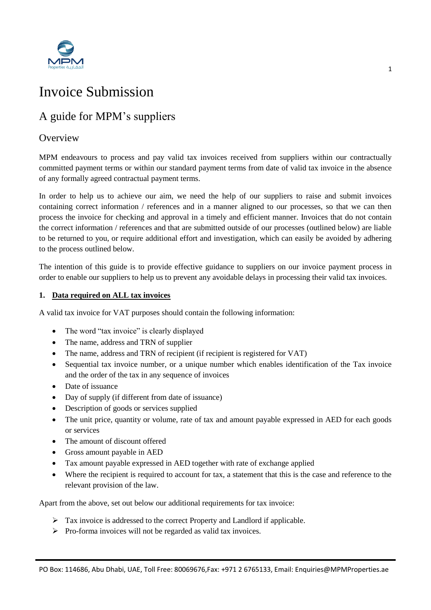

# Invoice Submission

## A guide for MPM's suppliers

### **Overview**

MPM endeavours to process and pay valid tax invoices received from suppliers within our contractually committed payment terms or within our standard payment terms from date of valid tax invoice in the absence of any formally agreed contractual payment terms.

In order to help us to achieve our aim, we need the help of our suppliers to raise and submit invoices containing correct information / references and in a manner aligned to our processes, so that we can then process the invoice for checking and approval in a timely and efficient manner. Invoices that do not contain the correct information / references and that are submitted outside of our processes (outlined below) are liable to be returned to you, or require additional effort and investigation, which can easily be avoided by adhering to the process outlined below.

The intention of this guide is to provide effective guidance to suppliers on our invoice payment process in order to enable our suppliers to help us to prevent any avoidable delays in processing their valid tax invoices.

#### **1. Data required on ALL tax invoices**

A valid tax invoice for VAT purposes should contain the following information:

- The word "tax invoice" is clearly displayed
- The name, address and TRN of supplier
- The name, address and TRN of recipient (if recipient is registered for VAT)
- Sequential tax invoice number, or a unique number which enables identification of the Tax invoice and the order of the tax in any sequence of invoices
- Date of issuance
- Day of supply (if different from date of issuance)
- Description of goods or services supplied
- The unit price, quantity or volume, rate of tax and amount payable expressed in AED for each goods or services
- The amount of discount offered
- Gross amount payable in AED
- Tax amount payable expressed in AED together with rate of exchange applied
- Where the recipient is required to account for tax, a statement that this is the case and reference to the relevant provision of the law.

Apart from the above, set out below our additional requirements for tax invoice:

- $\triangleright$  Tax invoice is addressed to the correct Property and Landlord if applicable.
- $\triangleright$  Pro-forma invoices will not be regarded as valid tax invoices.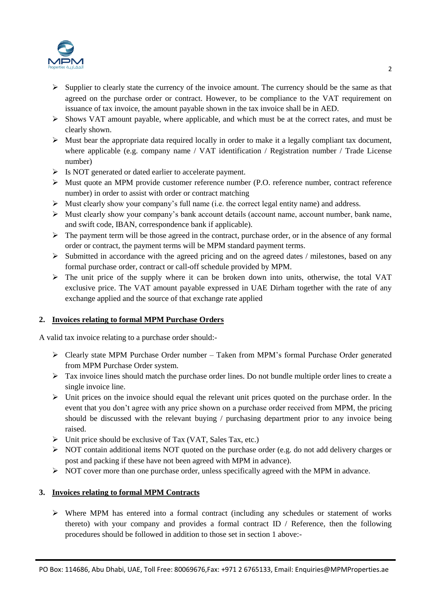

- $\triangleright$  Supplier to clearly state the currency of the invoice amount. The currency should be the same as that agreed on the purchase order or contract. However, to be compliance to the VAT requirement on issuance of tax invoice, the amount payable shown in the tax invoice shall be in AED.
- $\triangleright$  Shows VAT amount payable, where applicable, and which must be at the correct rates, and must be clearly shown.
- $\triangleright$  Must bear the appropriate data required locally in order to make it a legally compliant tax document, where applicable (e.g. company name / VAT identification / Registration number / Trade License number)
- $\triangleright$  Is NOT generated or dated earlier to accelerate payment.
- Must quote an MPM provide customer reference number (P.O. reference number, contract reference number) in order to assist with order or contract matching
- $\triangleright$  Must clearly show your company's full name (i.e. the correct legal entity name) and address.
- $\triangleright$  Must clearly show your company's bank account details (account name, account number, bank name, and swift code, IBAN, correspondence bank if applicable).
- $\triangleright$  The payment term will be those agreed in the contract, purchase order, or in the absence of any formal order or contract, the payment terms will be MPM standard payment terms.
- $\triangleright$  Submitted in accordance with the agreed pricing and on the agreed dates / milestones, based on any formal purchase order, contract or call-off schedule provided by MPM.
- $\triangleright$  The unit price of the supply where it can be broken down into units, otherwise, the total VAT exclusive price. The VAT amount payable expressed in UAE Dirham together with the rate of any exchange applied and the source of that exchange rate applied

#### **2. Invoices relating to formal MPM Purchase Orders**

A valid tax invoice relating to a purchase order should:-

- $\triangleright$  Clearly state MPM Purchase Order number Taken from MPM's formal Purchase Order generated from MPM Purchase Order system.
- $\triangleright$  Tax invoice lines should match the purchase order lines. Do not bundle multiple order lines to create a single invoice line.
- $\triangleright$  Unit prices on the invoice should equal the relevant unit prices quoted on the purchase order. In the event that you don't agree with any price shown on a purchase order received from MPM, the pricing should be discussed with the relevant buying / purchasing department prior to any invoice being raised.
- $\triangleright$  Unit price should be exclusive of Tax (VAT, Sales Tax, etc.)
- $\triangleright$  NOT contain additional items NOT quoted on the purchase order (e.g. do not add delivery charges or post and packing if these have not been agreed with MPM in advance).
- $\triangleright$  NOT cover more than one purchase order, unless specifically agreed with the MPM in advance.

#### **3. Invoices relating to formal MPM Contracts**

 $\triangleright$  Where MPM has entered into a formal contract (including any schedules or statement of works thereto) with your company and provides a formal contract ID / Reference, then the following procedures should be followed in addition to those set in section 1 above:-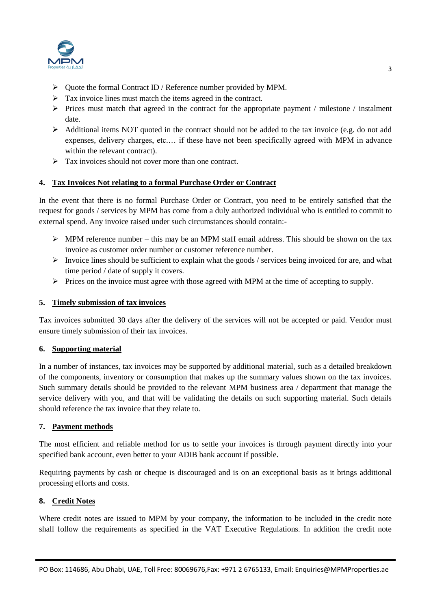

- $\triangleright$  Quote the formal Contract ID / Reference number provided by MPM.
- $\triangleright$  Tax invoice lines must match the items agreed in the contract.
- $\triangleright$  Prices must match that agreed in the contract for the appropriate payment / milestone / instalment date.
- $\triangleright$  Additional items NOT quoted in the contract should not be added to the tax invoice (e.g. do not add expenses, delivery charges, etc.… if these have not been specifically agreed with MPM in advance within the relevant contract).
- $\triangleright$  Tax invoices should not cover more than one contract.

#### **4. Tax Invoices Not relating to a formal Purchase Order or Contract**

In the event that there is no formal Purchase Order or Contract, you need to be entirely satisfied that the request for goods / services by MPM has come from a duly authorized individual who is entitled to commit to external spend. Any invoice raised under such circumstances should contain:-

- $\triangleright$  MPM reference number this may be an MPM staff email address. This should be shown on the tax invoice as customer order number or customer reference number.
- Invoice lines should be sufficient to explain what the goods / services being invoiced for are, and what time period / date of supply it covers.
- $\triangleright$  Prices on the invoice must agree with those agreed with MPM at the time of accepting to supply.

#### **5. Timely submission of tax invoices**

Tax invoices submitted 30 days after the delivery of the services will not be accepted or paid. Vendor must ensure timely submission of their tax invoices.

#### **6. Supporting material**

In a number of instances, tax invoices may be supported by additional material, such as a detailed breakdown of the components, inventory or consumption that makes up the summary values shown on the tax invoices. Such summary details should be provided to the relevant MPM business area / department that manage the service delivery with you, and that will be validating the details on such supporting material. Such details should reference the tax invoice that they relate to.

#### **7. Payment methods**

The most efficient and reliable method for us to settle your invoices is through payment directly into your specified bank account, even better to your ADIB bank account if possible.

Requiring payments by cash or cheque is discouraged and is on an exceptional basis as it brings additional processing efforts and costs.

#### **8. Credit Notes**

Where credit notes are issued to MPM by your company, the information to be included in the credit note shall follow the requirements as specified in the VAT Executive Regulations. In addition the credit note